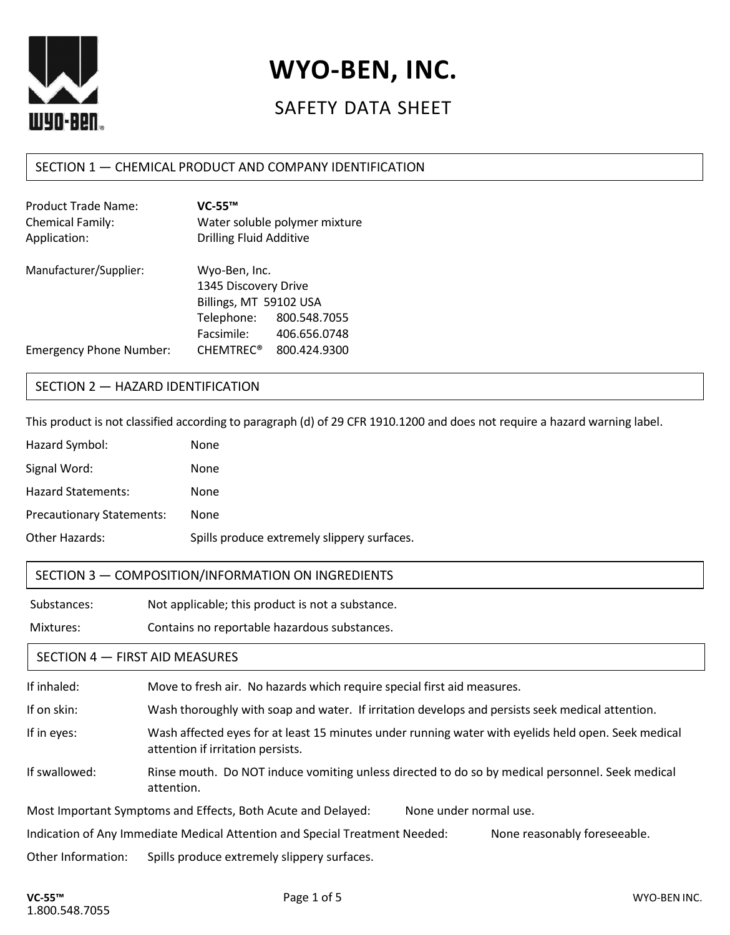

# **WYO-BEN, INC.**

## SAFFTY DATA SHFFT

## SECTION 1 — CHEMICAL PRODUCT AND COMPANY IDENTIFICATION

| Product Trade Name:            | VC-55™                         |                               |
|--------------------------------|--------------------------------|-------------------------------|
| Chemical Family:               |                                | Water soluble polymer mixture |
| Application:                   | <b>Drilling Fluid Additive</b> |                               |
| Manufacturer/Supplier:         | Wyo-Ben, Inc.                  |                               |
|                                | 1345 Discovery Drive           |                               |
|                                | Billings, MT 59102 USA         |                               |
|                                | Telephone:                     | 800.548.7055                  |
|                                | Facsimile:                     | 406.656.0748                  |
| <b>Emergency Phone Number:</b> | <b>CHEMTREC<sup>®</sup></b>    | 800.424.9300                  |
|                                |                                |                               |

## SECTION 2 — HAZARD IDENTIFICATION

This product is not classified according to paragraph (d) of 29 CFR 1910.1200 and does not require a hazard warning label.

| Hazard Symbol:                   | None                                        |
|----------------------------------|---------------------------------------------|
| Signal Word:                     | <b>None</b>                                 |
| <b>Hazard Statements:</b>        | <b>None</b>                                 |
| <b>Precautionary Statements:</b> | <b>None</b>                                 |
| Other Hazards:                   | Spills produce extremely slippery surfaces. |

## SECTION 3 — COMPOSITION/INFORMATION ON INGREDIENTS

| Substances: | Not applicable; this product is not a substance. |
|-------------|--------------------------------------------------|
|-------------|--------------------------------------------------|

Mixtures: Contains no reportable hazardous substances.

## SECTION 4 — FIRST AID MEASURES

| If inhaled:        | Move to fresh air. No hazards which require special first aid measures.                                                                  |  |  |
|--------------------|------------------------------------------------------------------------------------------------------------------------------------------|--|--|
| If on skin:        | Wash thoroughly with soap and water. If irritation develops and persists seek medical attention.                                         |  |  |
| If in eyes:        | Wash affected eyes for at least 15 minutes under running water with eyelids held open. Seek medical<br>attention if irritation persists. |  |  |
| If swallowed:      | Rinse mouth. Do NOT induce vomiting unless directed to do so by medical personnel. Seek medical<br>attention.                            |  |  |
|                    | Most Important Symptoms and Effects, Both Acute and Delayed:<br>None under normal use.                                                   |  |  |
|                    | Indication of Any Immediate Medical Attention and Special Treatment Needed:<br>None reasonably foreseeable.                              |  |  |
| Other Information: | Spills produce extremely slippery surfaces.                                                                                              |  |  |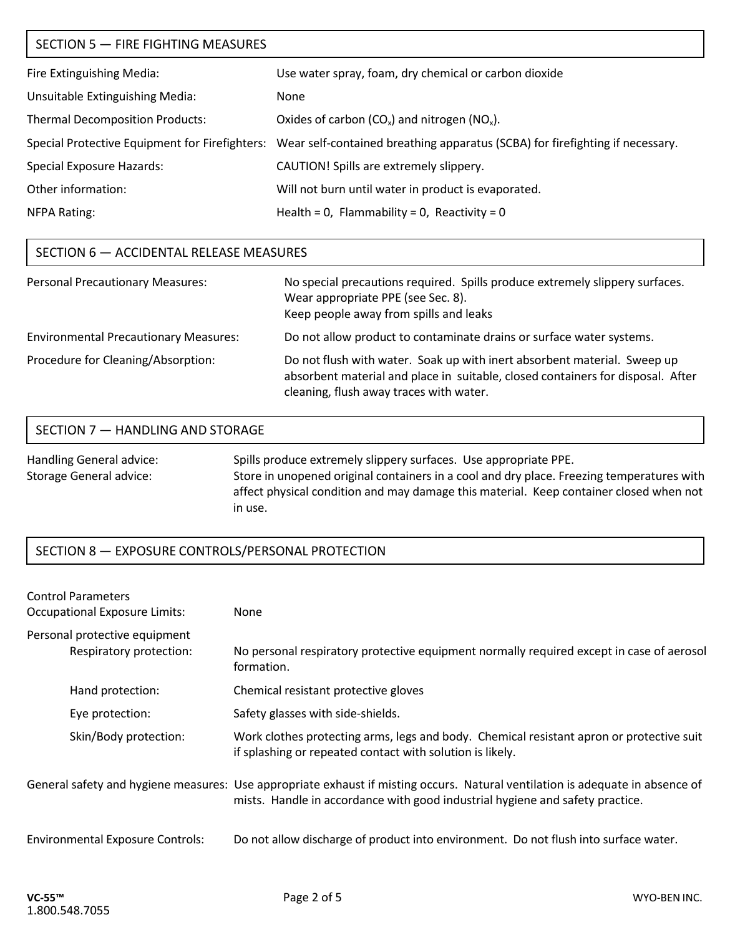## SECTION 5 — FIRE FIGHTING MEASURES

| Fire Extinguishing Media:              | Use water spray, foam, dry chemical or carbon dioxide                                                                        |
|----------------------------------------|------------------------------------------------------------------------------------------------------------------------------|
| Unsuitable Extinguishing Media:        | None                                                                                                                         |
| <b>Thermal Decomposition Products:</b> | Oxides of carbon ( $CO_x$ ) and nitrogen ( $NO_x$ ).                                                                         |
|                                        | Special Protective Equipment for Firefighters: Wear self-contained breathing apparatus (SCBA) for firefighting if necessary. |
| <b>Special Exposure Hazards:</b>       | CAUTION! Spills are extremely slippery.                                                                                      |
| Other information:                     | Will not burn until water in product is evaporated.                                                                          |
| <b>NFPA Rating:</b>                    | Health = 0, Flammability = 0, Reactivity = 0                                                                                 |

## SECTION 6 — ACCIDENTAL RELEASE MEASURES

| <b>Personal Precautionary Measures:</b>      | No special precautions required. Spills produce extremely slippery surfaces.<br>Wear appropriate PPE (see Sec. 8).<br>Keep people away from spills and leaks                                           |
|----------------------------------------------|--------------------------------------------------------------------------------------------------------------------------------------------------------------------------------------------------------|
| <b>Environmental Precautionary Measures:</b> | Do not allow product to contaminate drains or surface water systems.                                                                                                                                   |
| Procedure for Cleaning/Absorption:           | Do not flush with water. Soak up with inert absorbent material. Sweep up<br>absorbent material and place in suitable, closed containers for disposal. After<br>cleaning, flush away traces with water. |

## Handling General advice: Spills produce extremely slippery surfaces. Use appropriate PPE. Storage General advice: Store in unopened original containers in a cool and dry place. Freezing temperatures with SECTION 7 — HANDLING AND STORAGE

## affect physical condition and may damage this material. Keep container closed when not in use.

## SECTION 8 — EXPOSURE CONTROLS/PERSONAL PROTECTION

| <b>Control Parameters</b><br><b>Occupational Exposure Limits:</b> | <b>None</b>                                                                                                                                                                                                    |
|-------------------------------------------------------------------|----------------------------------------------------------------------------------------------------------------------------------------------------------------------------------------------------------------|
| Personal protective equipment<br>Respiratory protection:          | No personal respiratory protective equipment normally required except in case of aerosol<br>formation.                                                                                                         |
| Hand protection:                                                  | Chemical resistant protective gloves                                                                                                                                                                           |
| Eye protection:                                                   | Safety glasses with side-shields.                                                                                                                                                                              |
| Skin/Body protection:                                             | Work clothes protecting arms, legs and body. Chemical resistant apron or protective suit<br>if splashing or repeated contact with solution is likely.                                                          |
|                                                                   | General safety and hygiene measures: Use appropriate exhaust if misting occurs. Natural ventilation is adequate in absence of<br>mists. Handle in accordance with good industrial hygiene and safety practice. |
| <b>Environmental Exposure Controls:</b>                           | Do not allow discharge of product into environment. Do not flush into surface water.                                                                                                                           |
|                                                                   |                                                                                                                                                                                                                |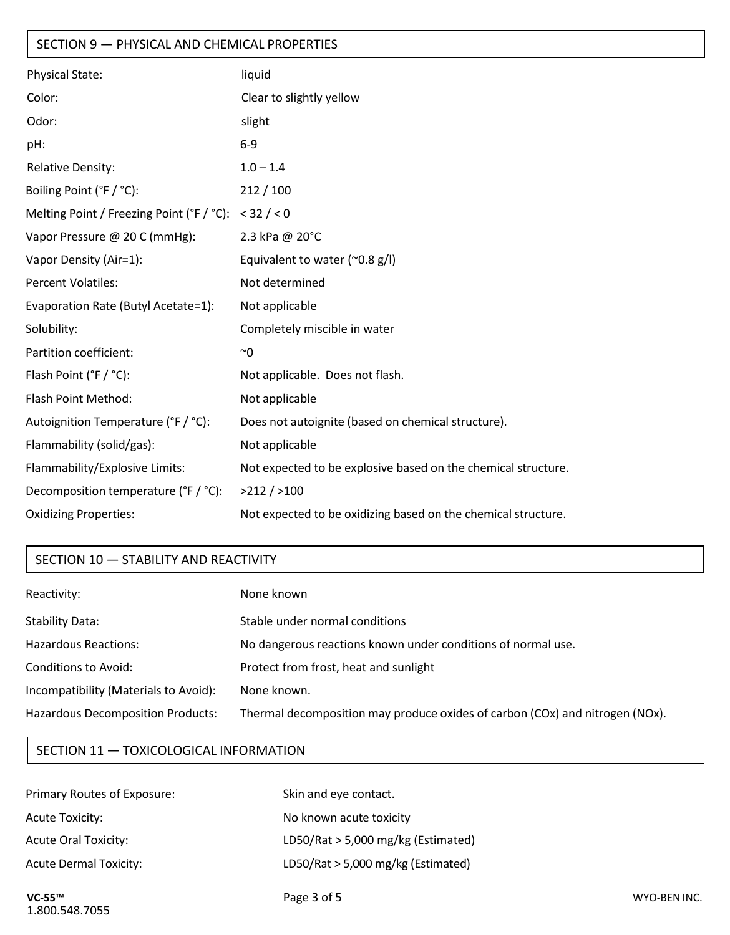## SECTION 9 — PHYSICAL AND CHEMICAL PROPERTIES

| Physical State:                                 | liquid                                                        |
|-------------------------------------------------|---------------------------------------------------------------|
| Color:                                          | Clear to slightly yellow                                      |
| Odor:                                           | slight                                                        |
| pH:                                             | $6-9$                                                         |
| <b>Relative Density:</b>                        | $1.0 - 1.4$                                                   |
| Boiling Point (°F / °C):                        | 212/100                                                       |
| Melting Point / Freezing Point (°F / °C):       | < 32 / < 0                                                    |
| Vapor Pressure @ 20 C (mmHg):                   | 2.3 kPa @ 20°C                                                |
| Vapor Density (Air=1):                          | Equivalent to water ( $\degree$ 0.8 g/l)                      |
| <b>Percent Volatiles:</b>                       | Not determined                                                |
| Evaporation Rate (Butyl Acetate=1):             | Not applicable                                                |
| Solubility:                                     | Completely miscible in water                                  |
| Partition coefficient:                          | $^{\sim}$ 0                                                   |
| Flash Point ( ${}^{\circ}$ F / ${}^{\circ}$ C): | Not applicable. Does not flash.                               |
| Flash Point Method:                             | Not applicable                                                |
| Autoignition Temperature (°F / °C):             | Does not autoignite (based on chemical structure).            |
| Flammability (solid/gas):                       | Not applicable                                                |
| Flammability/Explosive Limits:                  | Not expected to be explosive based on the chemical structure. |
| Decomposition temperature (°F / °C):            | >212 / >100                                                   |
| <b>Oxidizing Properties:</b>                    | Not expected to be oxidizing based on the chemical structure. |

## SECTION 10 — STABILITY AND REACTIVITY

| Reactivity:                              | None known                                                                   |
|------------------------------------------|------------------------------------------------------------------------------|
| <b>Stability Data:</b>                   | Stable under normal conditions                                               |
| <b>Hazardous Reactions:</b>              | No dangerous reactions known under conditions of normal use.                 |
| Conditions to Avoid:                     | Protect from frost, heat and sunlight                                        |
| Incompatibility (Materials to Avoid):    | None known.                                                                  |
| <b>Hazardous Decomposition Products:</b> | Thermal decomposition may produce oxides of carbon (COx) and nitrogen (NOx). |

## SECTION 11 — TOXICOLOGICAL INFORMATION

| Primary Routes of Exposure:   | Skin and eye contact.                |
|-------------------------------|--------------------------------------|
| Acute Toxicity:               | No known acute toxicity              |
| <b>Acute Oral Toxicity:</b>   | LD50/Rat $>$ 5,000 mg/kg (Estimated) |
| <b>Acute Dermal Toxicity:</b> | LD50/Rat $>$ 5,000 mg/kg (Estimated) |

**VC-55™** Page 3 of 5 1.800.548.7055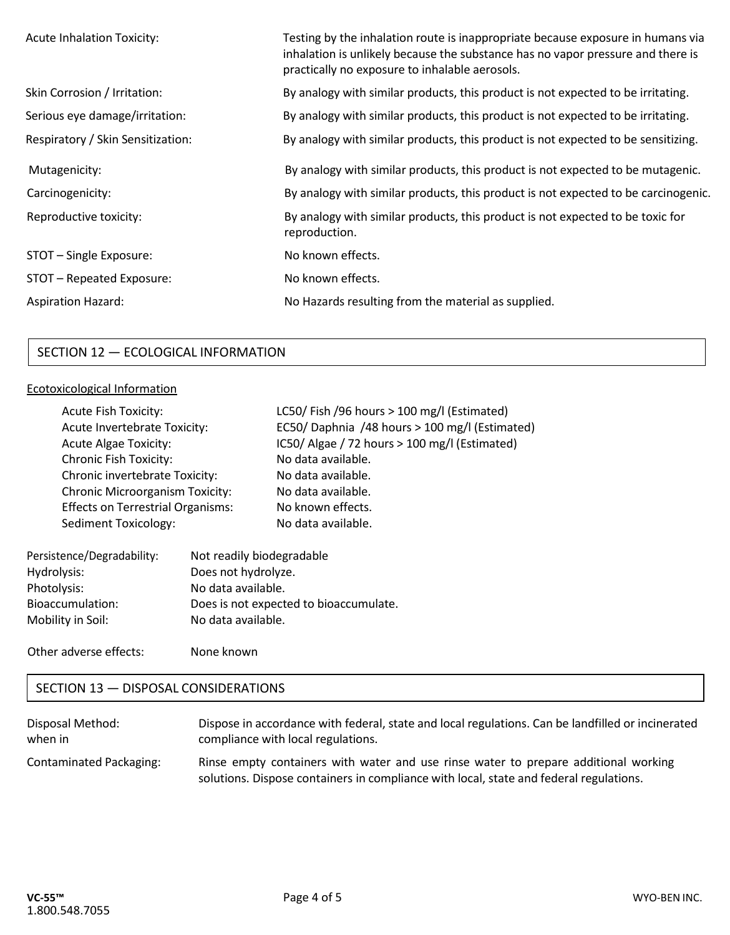| <b>Acute Inhalation Toxicity:</b> | Testing by the inhalation route is inappropriate because exposure in humans via<br>inhalation is unlikely because the substance has no vapor pressure and there is<br>practically no exposure to inhalable aerosols. |
|-----------------------------------|----------------------------------------------------------------------------------------------------------------------------------------------------------------------------------------------------------------------|
| Skin Corrosion / Irritation:      | By analogy with similar products, this product is not expected to be irritating.                                                                                                                                     |
| Serious eye damage/irritation:    | By analogy with similar products, this product is not expected to be irritating.                                                                                                                                     |
| Respiratory / Skin Sensitization: | By analogy with similar products, this product is not expected to be sensitizing.                                                                                                                                    |
| Mutagenicity:                     | By analogy with similar products, this product is not expected to be mutagenic.                                                                                                                                      |
| Carcinogenicity:                  | By analogy with similar products, this product is not expected to be carcinogenic.                                                                                                                                   |
| Reproductive toxicity:            | By analogy with similar products, this product is not expected to be toxic for<br>reproduction.                                                                                                                      |
| STOT - Single Exposure:           | No known effects.                                                                                                                                                                                                    |
| STOT - Repeated Exposure:         | No known effects.                                                                                                                                                                                                    |
| <b>Aspiration Hazard:</b>         | No Hazards resulting from the material as supplied.                                                                                                                                                                  |

## SECTION 12 — ECOLOGICAL INFORMATION

## Ecotoxicological Information

| <b>Acute Fish Toxicity:</b>              | LC50/Fish /96 hours > 100 mg/l (Estimated)    |
|------------------------------------------|-----------------------------------------------|
| Acute Invertebrate Toxicity:             | EC50/Daphnia /48 hours > 100 mg/l (Estimated) |
| <b>Acute Algae Toxicity:</b>             | IC50/ Algae / 72 hours > 100 mg/l (Estimated) |
| <b>Chronic Fish Toxicity:</b>            | No data available.                            |
| Chronic invertebrate Toxicity:           | No data available.                            |
| <b>Chronic Microorganism Toxicity:</b>   | No data available.                            |
| <b>Effects on Terrestrial Organisms:</b> | No known effects.                             |
| <b>Sediment Toxicology:</b>              | No data available.                            |
|                                          |                                               |

| Persistence/Degradability: | Not readily biodegradable              |
|----------------------------|----------------------------------------|
| Hydrolysis:                | Does not hydrolyze.                    |
| Photolysis:                | No data available.                     |
| Bioaccumulation:           | Does is not expected to bioaccumulate. |
| Mobility in Soil:          | No data available.                     |
|                            |                                        |

Other adverse effects: None known

## SECTION 13 — DISPOSAL CONSIDERATIONS

| Disposal Method:        | Dispose in accordance with federal, state and local regulations. Can be landfilled or incinerated                                                                             |
|-------------------------|-------------------------------------------------------------------------------------------------------------------------------------------------------------------------------|
| when in                 | compliance with local regulations.                                                                                                                                            |
| Contaminated Packaging: | Rinse empty containers with water and use rinse water to prepare additional working<br>solutions. Dispose containers in compliance with local, state and federal regulations. |